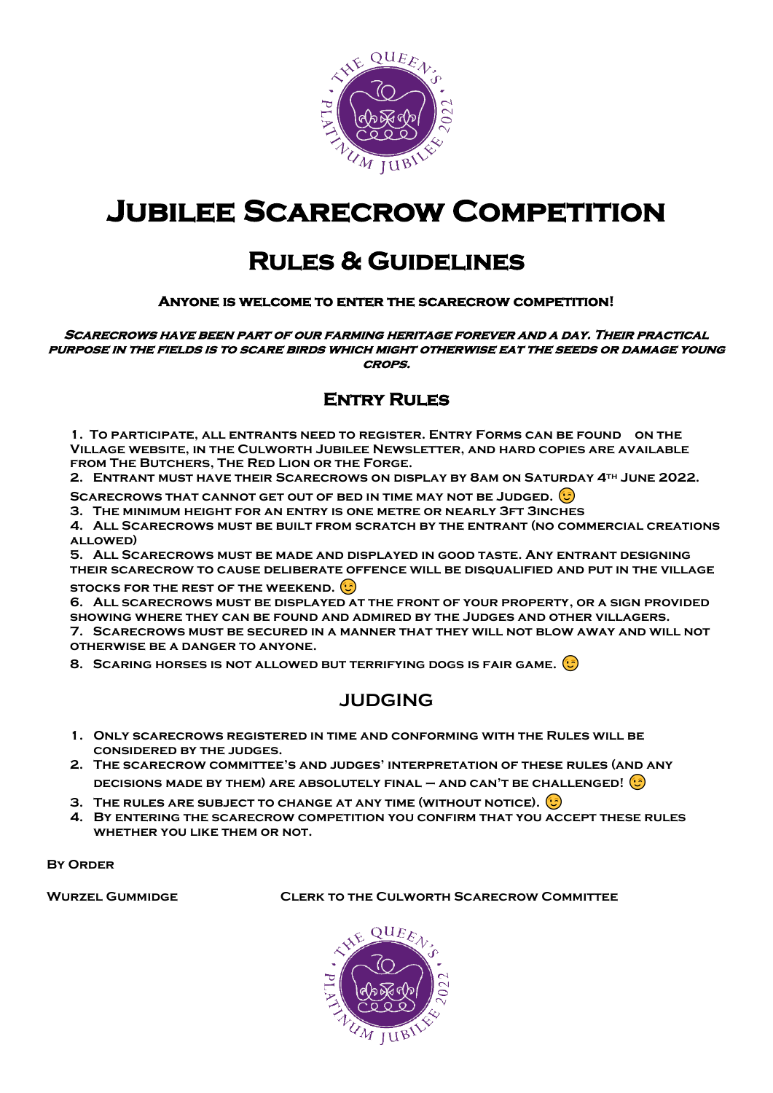

## **Jubilee Scarecrow Competition**

## **Rules & Guidelines**

#### **Anyone is welcome to enter the scarecrow competition!**

**Scarecrows have been part of our farming heritage forever and a day. Their practical purpose in the fields is to scare birds which might otherwise eat the seeds or damage young crops.** 

#### **Entry Rules**

**1. To participate, all entrants need to register. Entry Forms can be found on the Village website, in the Culworth Jubilee Newsletter, and hard copies are available from The Butchers, The Red Lion or the Forge.**

**2. Entrant must have their Scarecrows on display by 8am on Saturday 4th June 2022.** 

**SCARECROWS THAT CANNOT GET OUT OF BED IN TIME MAY NOT BE JUDGED.** 

**3. The minimum height for an entry is one metre or nearly 3ft 3inches**

**4. All Scarecrows must be built from scratch by the entrant (no commercial creations allowed)**

**5. All Scarecrows must be made and displayed in good taste. Any entrant designing their scarecrow to cause deliberate offence will be disqualified and put in the village** 

**STOCKS FOR THE REST OF THE WEEKEND.** 

**6. All scarecrows must be displayed at the front of your property, or a sign provided showing where they can be found and admired by the Judges and other villagers. 7. Scarecrows must be secured in a manner that they will not blow away and will not otherwise be a danger to anyone.**

**8. Scaring horses is not allowed but terrifying dogs is fair game.**

### **JUDGING**

- **1. Only scarecrows registered in time and conforming with the Rules will be considered by the judges.**
- **2. The scarecrow committee's and judges' interpretation of these rules (and any decisions made by them) are absolutely final – and can't be challenged!**
- **3. The rules are subject to change at any time (without notice).**
- **4. By entering the scarecrow competition you confirm that you accept these rules whether you like them or not.**

**BY ORDER** 

**Wurzel Gummidge Clerk to the Culworth Scarecrow Committee**

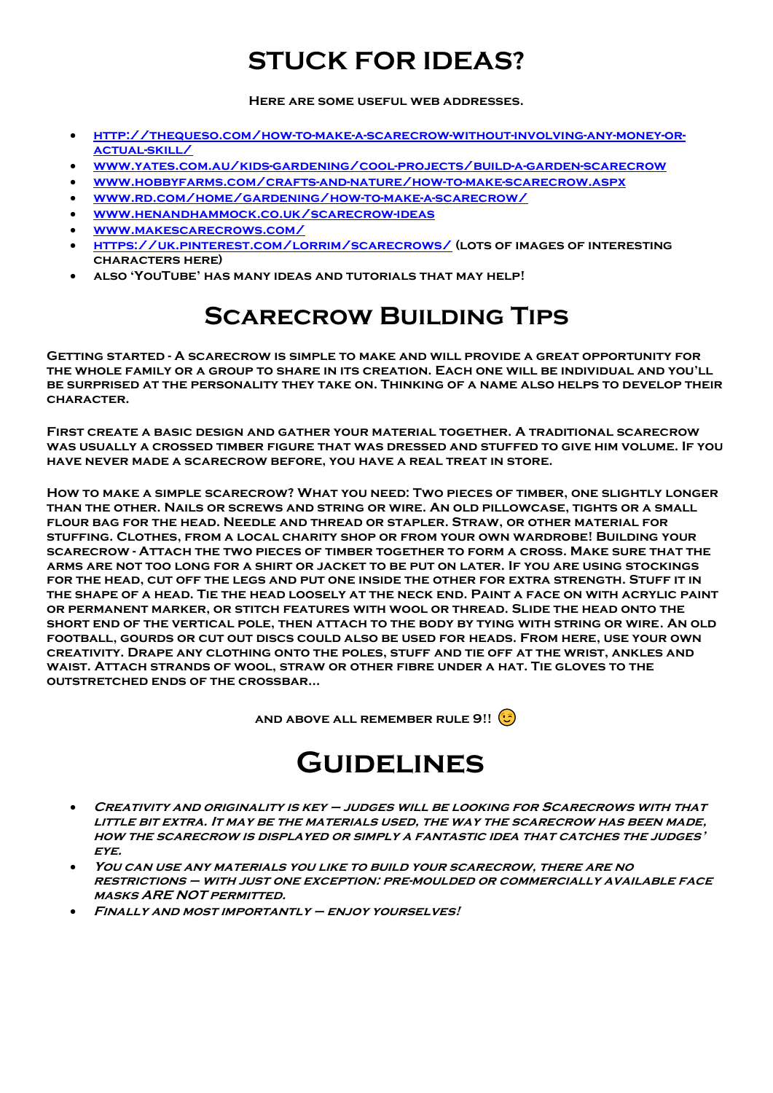## **STUCK FOR IDEAS?**

**Here are some useful web addresses.**

- **[http://thequeso.com/how-to-make-a-scarecrow-without-involving-any-money-or](http://thequeso.com/how-to-make-a-scarecrow-without-involving-any-money-or-actual-skill/)[actual-skill/](http://thequeso.com/how-to-make-a-scarecrow-without-involving-any-money-or-actual-skill/)**
- **[www.yates.com.au/kids-gardening/cool-projects/build-a-garden-scarecrow](http://www.yates.com.au/kids-gardening/cool-projects/build-a-garden-scarecrow)**
- **[www.hobbyfarms.com/crafts-and-nature/how-to-make-scarecrow.aspx](http://www.hobbyfarms.com/crafts-and-nature/how-to-make-scarecrow.aspx)**
- **[www.rd.com/home/gardening/how-to-make-a-scarecrow/](http://www.rd.com/home/gardening/how-to-make-a-scarecrow/)**
- **[www.henandhammock.co.uk/scarecrow-ideas](http://www.henandhammock.co.uk/scarecrow-ideas)**
- **[www.makescarecrows.com/](http://www.makescarecrows.com/)**
- **<https://uk.pinterest.com/lorrim/scarecrows/> (lots of images of interesting characters here)**
- **also 'YouTube' has many ideas and tutorials that may help!**

## **Scarecrow Building Tips**

**Getting started - A scarecrow is simple to make and will provide a great opportunity for the whole family or a group to share in its creation. Each one will be individual and you'll be surprised at the personality they take on. Thinking of a name also helps to develop their character.**

**First create a basic design and gather your material together. A traditional scarecrow was usually a crossed timber figure that was dressed and stuffed to give him volume. If you have never made a scarecrow before, you have a real treat in store.** 

**How to make a simple scarecrow? What you need: Two pieces of timber, one slightly longer than the other. Nails or screws and string or wire. An old pillowcase, tights or a small flour bag for the head. Needle and thread or stapler. Straw, or other material for stuffing. Clothes, from a local charity shop or from your own wardrobe! Building your scarecrow - Attach the two pieces of timber together to form a cross. Make sure that the arms are not too long for a shirt or jacket to be put on later. If you are using stockings for the head, cut off the legs and put one inside the other for extra strength. Stuff it in the shape of a head. Tie the head loosely at the neck end. Paint a face on with acrylic paint or permanent marker, or stitch features with wool or thread. Slide the head onto the short end of the vertical pole, then attach to the body by tying with string or wire. An old football, gourds or cut out discs could also be used for heads. From here, use your own creativity. Drape any clothing onto the poles, stuff and tie off at the wrist, ankles and waist. Attach strands of wool, straw or other fibre under a hat. Tie gloves to the outstretched ends of the crossbar…** 

**AND ABOVE ALL REMEMBER RULE 9!!** 

## **Guidelines**

- **Creativity and originality is key – judges will be looking for Scarecrows with that little bit extra. It may be the materials used, the way the scarecrow has been made, how the scarecrow is displayed or simply a fantastic idea that catches the judges' eye.**
- **You can use any materials you like to build your scarecrow, there are no restrictions – with just one exception: pre-moulded or commercially available face masks ARE NOT permitted.**
- **Finally and most importantly – enjoy yourselves!**